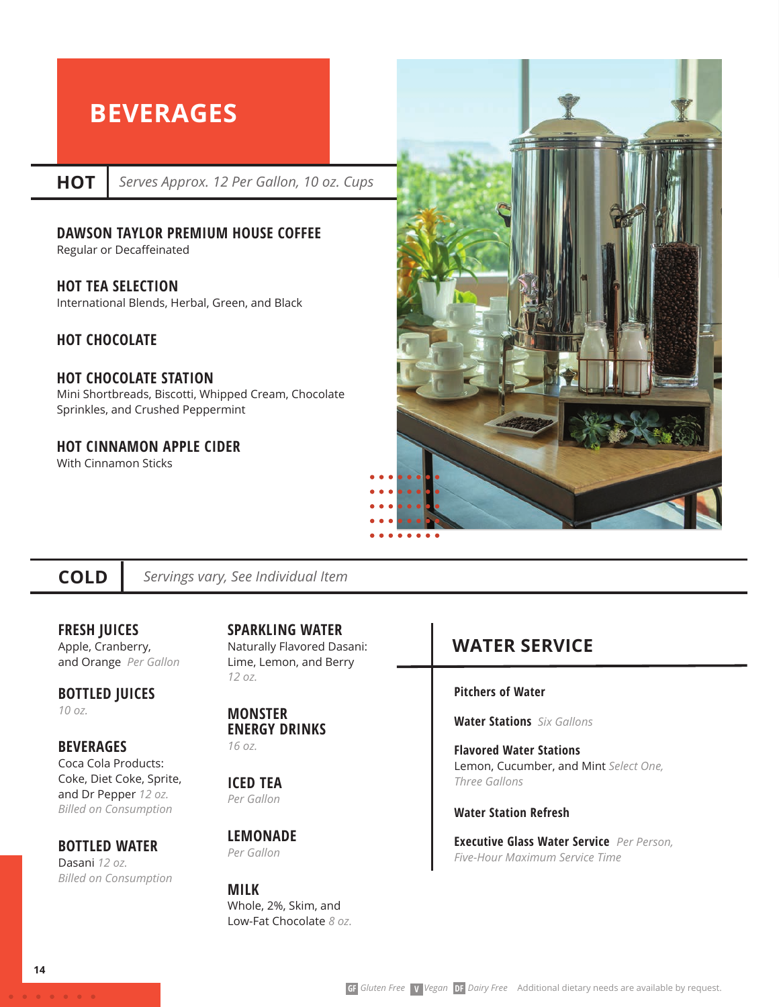# **BEVERAGES**

**HOT**

*Serves Approx. 12 Per Gallon, 10 oz. Cups*

#### **DAWSON TAYLOR PREMIUM HOUSE COFFEE**

Regular or Decaffeinated

**HOT TEA SELECTION** 

International Blends, Herbal, Green, and Black

#### **HOT CHOCOLATE**

#### **HOT CHOCOLATE STATION**

Mini Shortbreads, Biscotti, Whipped Cream, Chocolate Sprinkles, and Crushed Peppermint

### **HOT CINNAMON APPLE CIDER**

With Cinnamon Sticks



### **COLD**

*Servings vary, See Individual Item*

#### **FRESH JUICES**  Apple, Cranberry, and Orange *Per Gallon*

**BOTTLED JUICES** 

*10 oz.* 

#### **BEVERAGES** Coca Cola Products: Coke, Diet Coke, Sprite,

and Dr Pepper *12 oz. Billed on Consumption*

## **BOTTLED WATER**

Dasani *12 oz. Billed on Consumption*

**SPARKLING WATER** Naturally Flavored Dasani: Lime, Lemon, and Berry *12 oz.* 

#### **MONSTER ENERGY DRINKS**  *16 oz.*

**ICED TEA**  *Per Gallon*

**LEMONADE**  *Per Gallon*

#### **MILK**  Whole, 2%, Skim, and Low-Fat Chocolate *8 oz.*

## **WATER SERVICE**

#### **Pitchers of Water**

**Water Stations** *Six Gallons* 

**Flavored Water Stations**  Lemon, Cucumber, and Mint *Select One, Three Gallons* 

#### **Water Station Refresh**

**Executive Glass Water Service** *Per Person, Five-Hour Maximum Service Time*